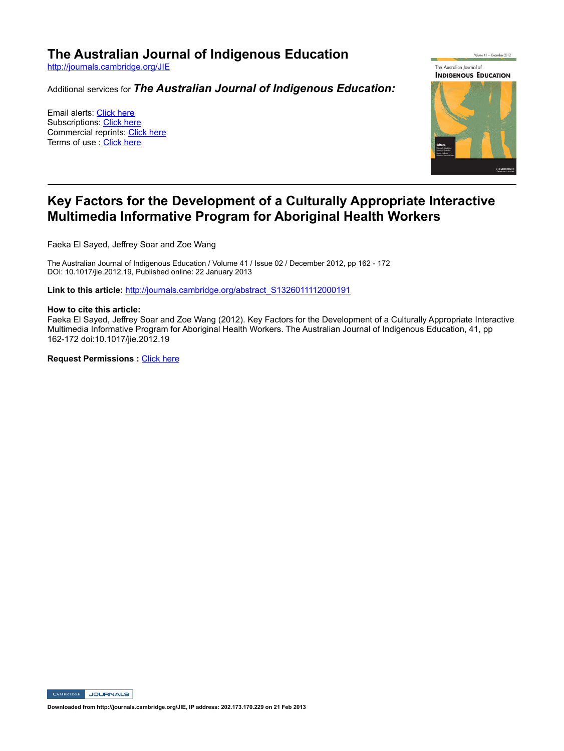# **The Australian Journal of Indigenous Education**

http://journals.cambridge.org/JIE

Additional services for *The Australian Journal of Indigenous Education:*

Email alerts: Click here Subscriptions: Click here Commercial reprints: Click here Terms of use : Click here



# **Key Factors for the Development of a Culturally Appropriate Interactive Multimedia Informative Program for Aboriginal Health Workers**

Faeka El Sayed, Jeffrey Soar and Zoe Wang

The Australian Journal of Indigenous Education / Volume 41 / Issue 02 / December 2012, pp 162 172 DOI: 10.1017/jie.2012.19, Published online: 22 January 2013

Link to this article: http://journals.cambridge.org/abstract\_S1326011112000191

#### **How to cite this article:**

Faeka El Sayed, Jeffrey Soar and Zoe Wang (2012). Key Factors for the Development of a Culturally Appropriate Interactive Multimedia Informative Program for Aboriginal Health Workers. The Australian Journal of Indigenous Education, 41, pp 162172 doi:10.1017/jie.2012.19

**Request Permissions : Click here** 

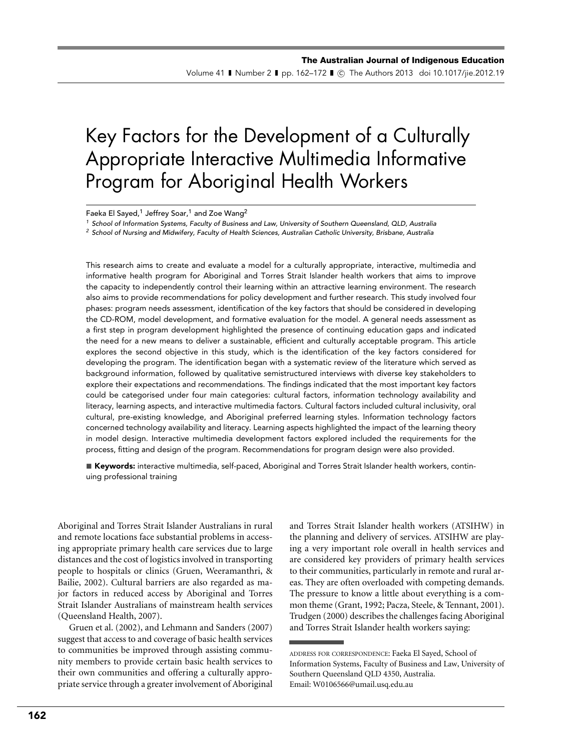# Key Factors for the Development of a Culturally Appropriate Interactive Multimedia Informative Program for Aboriginal Health Workers

Faeka El Sayed,<sup>1</sup> Jeffrey Soar,<sup>1</sup> and Zoe Wang<sup>2</sup>

<sup>1</sup> School of Information Systems, Faculty of Business and Law, University of Southern Queensland, QLD, Australia

<sup>2</sup> School of Nursing and Midwifery, Faculty of Health Sciences, Australian Catholic University, Brisbane, Australia

This research aims to create and evaluate a model for a culturally appropriate, interactive, multimedia and informative health program for Aboriginal and Torres Strait Islander health workers that aims to improve the capacity to independently control their learning within an attractive learning environment. The research also aims to provide recommendations for policy development and further research. This study involved four phases: program needs assessment, identification of the key factors that should be considered in developing the CD-ROM, model development, and formative evaluation for the model. A general needs assessment as a first step in program development highlighted the presence of continuing education gaps and indicated the need for a new means to deliver a sustainable, efficient and culturally acceptable program. This article explores the second objective in this study, which is the identification of the key factors considered for developing the program. The identification began with a systematic review of the literature which served as background information, followed by qualitative semistructured interviews with diverse key stakeholders to explore their expectations and recommendations. The findings indicated that the most important key factors could be categorised under four main categories: cultural factors, information technology availability and literacy, learning aspects, and interactive multimedia factors. Cultural factors included cultural inclusivity, oral cultural, pre-existing knowledge, and Aboriginal preferred learning styles. Information technology factors concerned technology availability and literacy. Learning aspects highlighted the impact of the learning theory in model design. Interactive multimedia development factors explored included the requirements for the process, fitting and design of the program. Recommendations for program design were also provided.

 $\blacksquare$  Keywords: interactive multimedia, self-paced, Aboriginal and Torres Strait Islander health workers, continuing professional training

Aboriginal and Torres Strait Islander Australians in rural and remote locations face substantial problems in accessing appropriate primary health care services due to large distances and the cost of logistics involved in transporting people to hospitals or clinics (Gruen, Weeramanthri, & Bailie, 2002). Cultural barriers are also regarded as major factors in reduced access by Aboriginal and Torres Strait Islander Australians of mainstream health services (Queensland Health, 2007).

Gruen et al. (2002), and Lehmann and Sanders (2007) suggest that access to and coverage of basic health services to communities be improved through assisting community members to provide certain basic health services to their own communities and offering a culturally appropriate service through a greater involvement of Aboriginal and Torres Strait Islander health workers (ATSIHW) in the planning and delivery of services. ATSIHW are playing a very important role overall in health services and are considered key providers of primary health services to their communities, particularly in remote and rural areas. They are often overloaded with competing demands. The pressure to know a little about everything is a common theme (Grant, 1992; Pacza, Steele, & Tennant, 2001). Trudgen (2000) describes the challenges facing Aboriginal and Torres Strait Islander health workers saying:

ADDRESS FOR CORRESPONDENCE: Faeka El Sayed, School of Information Systems, Faculty of Business and Law, University of Southern Queensland QLD 4350, Australia. Email: W0106566@umail.usq.edu.au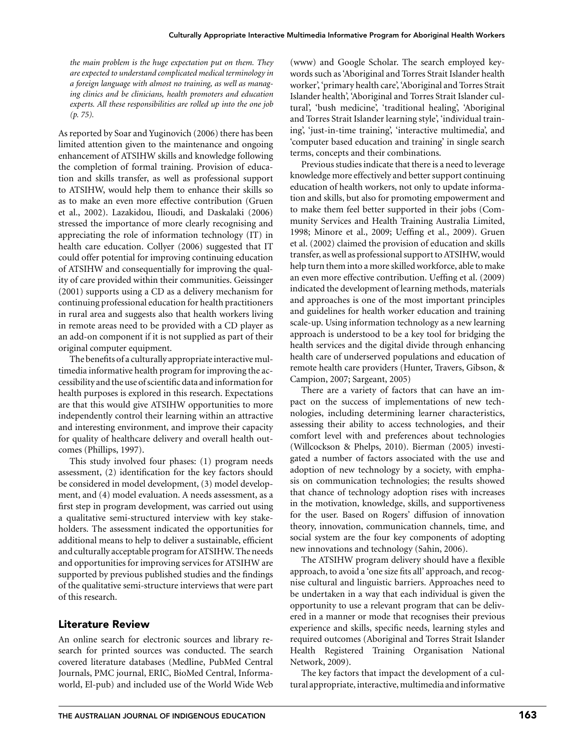*the main problem is the huge expectation put on them. They are expected to understand complicated medical terminology in a foreign language with almost no training, as well as managing clinics and be clinicians, health promoters and education experts. All these responsibilities are rolled up into the one job (p. 75).*

As reported by Soar and Yuginovich (2006) there has been limited attention given to the maintenance and ongoing enhancement of ATSIHW skills and knowledge following the completion of formal training. Provision of education and skills transfer, as well as professional support to ATSIHW, would help them to enhance their skills so as to make an even more effective contribution (Gruen et al., 2002). Lazakidou, Ilioudi, and Daskalaki (2006) stressed the importance of more clearly recognising and appreciating the role of information technology (IT) in health care education. Collyer (2006) suggested that IT could offer potential for improving continuing education of ATSIHW and consequentially for improving the quality of care provided within their communities. Geissinger (2001) supports using a CD as a delivery mechanism for continuing professional education for health practitioners in rural area and suggests also that health workers living in remote areas need to be provided with a CD player as an add-on component if it is not supplied as part of their original computer equipment.

The benefits of a culturally appropriate interactive multimedia informative health program for improving the accessibility and the use of scientific data and informationfor health purposes is explored in this research. Expectations are that this would give ATSIHW opportunities to more independently control their learning within an attractive and interesting environment, and improve their capacity for quality of healthcare delivery and overall health outcomes (Phillips, 1997).

This study involved four phases: (1) program needs assessment, (2) identification for the key factors should be considered in model development, (3) model development, and (4) model evaluation. A needs assessment, as a first step in program development, was carried out using a qualitative semi-structured interview with key stakeholders. The assessment indicated the opportunities for additional means to help to deliver a sustainable, efficient and culturally acceptable program for ATSIHW. The needs and opportunities for improving services for ATSIHW are supported by previous published studies and the findings of the qualitative semi-structure interviews that were part of this research.

### Literature Review

An online search for electronic sources and library research for printed sources was conducted. The search covered literature databases (Medline, PubMed Central Journals, PMC journal, ERIC, BioMed Central, Informaworld, El-pub) and included use of the World Wide Web

(www) and Google Scholar. The search employed keywords such as 'Aboriginal and Torres Strait Islander health worker', 'primary health care', 'Aboriginal and Torres Strait Islander health', 'Aboriginal and Torres Strait Islander cultural', 'bush medicine', 'traditional healing', 'Aboriginal and Torres Strait Islander learning style', 'individual training', 'just-in-time training', 'interactive multimedia', and 'computer based education and training' in single search terms, concepts and their combinations.

Previous studies indicate that there is a need to leverage knowledge more effectively and better support continuing education of health workers, not only to update information and skills, but also for promoting empowerment and to make them feel better supported in their jobs (Community Services and Health Training Australia Limited, 1998; Minore et al., 2009; Ueffing et al., 2009). Gruen et al. (2002) claimed the provision of education and skills transfer, as well as professional support to ATSIHW, would help turn them into a more skilled workforce, able to make an even more effective contribution. Ueffing et al. (2009) indicated the development of learning methods, materials and approaches is one of the most important principles and guidelines for health worker education and training scale-up. Using information technology as a new learning approach is understood to be a key tool for bridging the health services and the digital divide through enhancing health care of underserved populations and education of remote health care providers (Hunter, Travers, Gibson, & Campion, 2007; Sargeant, 2005)

There are a variety of factors that can have an impact on the success of implementations of new technologies, including determining learner characteristics, assessing their ability to access technologies, and their comfort level with and preferences about technologies (Willcockson & Phelps, 2010). Bierman (2005) investigated a number of factors associated with the use and adoption of new technology by a society, with emphasis on communication technologies; the results showed that chance of technology adoption rises with increases in the motivation, knowledge, skills, and supportiveness for the user. Based on Rogers' diffusion of innovation theory, innovation, communication channels, time, and social system are the four key components of adopting new innovations and technology (Sahin, 2006).

The ATSIHW program delivery should have a flexible approach, to avoid a 'one size fits all' approach, and recognise cultural and linguistic barriers. Approaches need to be undertaken in a way that each individual is given the opportunity to use a relevant program that can be delivered in a manner or mode that recognises their previous experience and skills, specific needs, learning styles and required outcomes (Aboriginal and Torres Strait Islander Health Registered Training Organisation National Network, 2009).

The key factors that impact the development of a cultural appropriate, interactive, multimedia and informative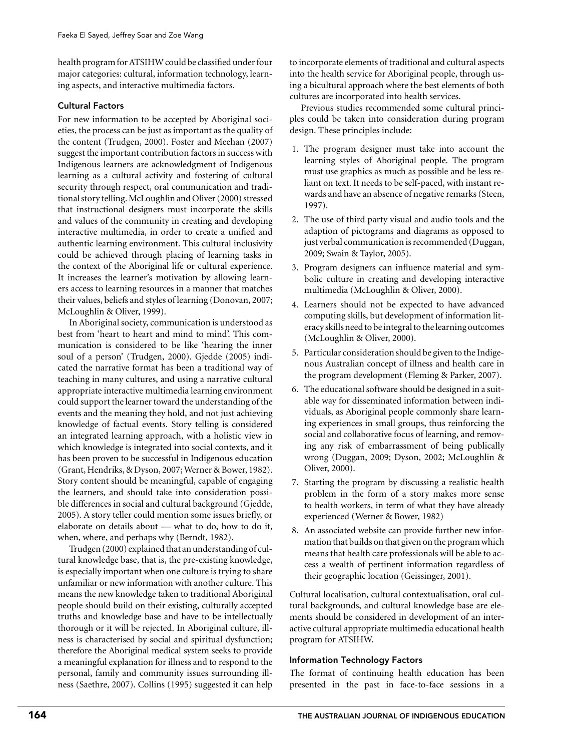health program for ATSIHW could be classified under four major categories: cultural, information technology, learning aspects, and interactive multimedia factors.

#### Cultural Factors

For new information to be accepted by Aboriginal societies, the process can be just as important as the quality of the content (Trudgen, 2000). Foster and Meehan (2007) suggest the important contribution factors in success with Indigenous learners are acknowledgment of Indigenous learning as a cultural activity and fostering of cultural security through respect, oral communication and traditional story telling.McLoughlin and Oliver (2000) stressed that instructional designers must incorporate the skills and values of the community in creating and developing interactive multimedia, in order to create a unified and authentic learning environment. This cultural inclusivity could be achieved through placing of learning tasks in the context of the Aboriginal life or cultural experience. It increases the learner's motivation by allowing learners access to learning resources in a manner that matches their values, beliefs and styles of learning (Donovan, 2007; McLoughlin & Oliver, 1999).

In Aboriginal society, communication is understood as best from 'heart to heart and mind to mind'. This communication is considered to be like 'hearing the inner soul of a person' (Trudgen, 2000). Gjedde (2005) indicated the narrative format has been a traditional way of teaching in many cultures, and using a narrative cultural appropriate interactive multimedia learning environment could support the learner toward the understanding of the events and the meaning they hold, and not just achieving knowledge of factual events. Story telling is considered an integrated learning approach, with a holistic view in which knowledge is integrated into social contexts, and it has been proven to be successful in Indigenous education (Grant, Hendriks, & Dyson, 2007; Werner & Bower, 1982). Story content should be meaningful, capable of engaging the learners, and should take into consideration possible differences in social and cultural background (Gjedde, 2005). A story teller could mention some issues briefly, or elaborate on details about — what to do, how to do it, when, where, and perhaps why (Berndt, 1982).

Trudgen (2000) explained that an understanding of cultural knowledge base, that is, the pre-existing knowledge, is especially important when one culture is trying to share unfamiliar or new information with another culture. This means the new knowledge taken to traditional Aboriginal people should build on their existing, culturally accepted truths and knowledge base and have to be intellectually thorough or it will be rejected. In Aboriginal culture, illness is characterised by social and spiritual dysfunction; therefore the Aboriginal medical system seeks to provide a meaningful explanation for illness and to respond to the personal, family and community issues surrounding illness (Saethre, 2007). Collins (1995) suggested it can help

to incorporate elements of traditional and cultural aspects into the health service for Aboriginal people, through using a bicultural approach where the best elements of both cultures are incorporated into health services.

Previous studies recommended some cultural principles could be taken into consideration during program design. These principles include:

- 1. The program designer must take into account the learning styles of Aboriginal people. The program must use graphics as much as possible and be less reliant on text. It needs to be self-paced, with instant rewards and have an absence of negative remarks (Steen, 1997).
- 2. The use of third party visual and audio tools and the adaption of pictograms and diagrams as opposed to just verbal communication is recommended (Duggan, 2009; Swain & Taylor, 2005).
- 3. Program designers can influence material and symbolic culture in creating and developing interactive multimedia (McLoughlin & Oliver, 2000).
- 4. Learners should not be expected to have advanced computing skills, but development of information literacy skills need to beintegral to the learning outcomes (McLoughlin & Oliver, 2000).
- 5. Particular consideration should be given to the Indigenous Australian concept of illness and health care in the program development (Fleming & Parker, 2007).
- 6. The educational software should be designed in a suitable way for disseminated information between individuals, as Aboriginal people commonly share learning experiences in small groups, thus reinforcing the social and collaborative focus of learning, and removing any risk of embarrassment of being publically wrong (Duggan, 2009; Dyson, 2002; McLoughlin & Oliver, 2000).
- 7. Starting the program by discussing a realistic health problem in the form of a story makes more sense to health workers, in term of what they have already experienced (Werner & Bower, 1982)
- 8. An associated website can provide further new information that builds on that given on the program which means that health care professionals will be able to access a wealth of pertinent information regardless of their geographic location (Geissinger, 2001).

Cultural localisation, cultural contextualisation, oral cultural backgrounds, and cultural knowledge base are elements should be considered in development of an interactive cultural appropriate multimedia educational health program for ATSIHW.

#### Information Technology Factors

The format of continuing health education has been presented in the past in face-to-face sessions in a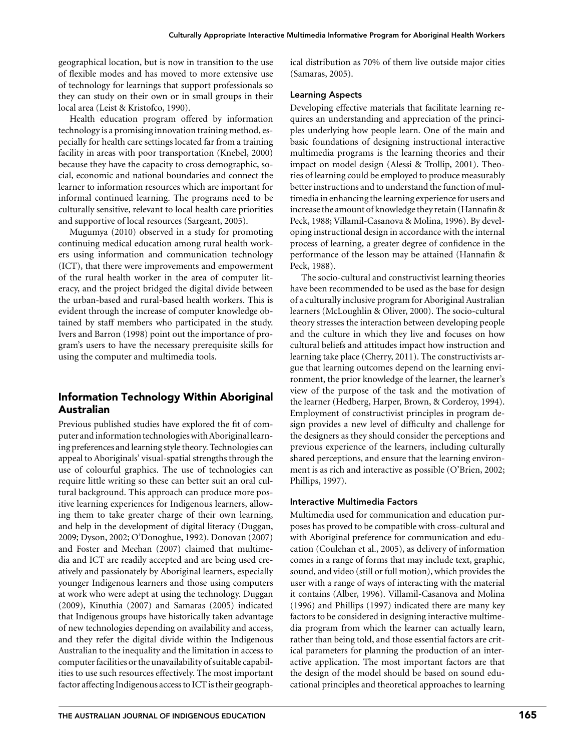geographical location, but is now in transition to the use of flexible modes and has moved to more extensive use of technology for learnings that support professionals so they can study on their own or in small groups in their local area (Leist & Kristofco, 1990).

Health education program offered by information technology is a promising innovation training method, especially for health care settings located far from a training facility in areas with poor transportation (Knebel, 2000) because they have the capacity to cross demographic, social, economic and national boundaries and connect the learner to information resources which are important for informal continued learning. The programs need to be culturally sensitive, relevant to local health care priorities and supportive of local resources (Sargeant, 2005).

Mugumya (2010) observed in a study for promoting continuing medical education among rural health workers using information and communication technology (ICT), that there were improvements and empowerment of the rural health worker in the area of computer literacy, and the project bridged the digital divide between the urban-based and rural-based health workers. This is evident through the increase of computer knowledge obtained by staff members who participated in the study. Ivers and Barron (1998) point out the importance of program's users to have the necessary prerequisite skills for using the computer and multimedia tools.

## Information Technology Within Aboriginal Australian

Previous published studies have explored the fit of computer and information technologies with Aboriginal learning preferences and learning style theory. Technologies can appeal to Aboriginals' visual-spatial strengths through the use of colourful graphics. The use of technologies can require little writing so these can better suit an oral cultural background. This approach can produce more positive learning experiences for Indigenous learners, allowing them to take greater charge of their own learning, and help in the development of digital literacy (Duggan, 2009; Dyson, 2002; O'Donoghue, 1992). Donovan (2007) and Foster and Meehan (2007) claimed that multimedia and ICT are readily accepted and are being used creatively and passionately by Aboriginal learners, especially younger Indigenous learners and those using computers at work who were adept at using the technology. Duggan (2009), Kinuthia (2007) and Samaras (2005) indicated that Indigenous groups have historically taken advantage of new technologies depending on availability and access, and they refer the digital divide within the Indigenous Australian to the inequality and the limitation in access to computer facilities or the unavailability of suitable capabilities to use such resources effectively. The most important factor affecting Indigenous access to ICT is their geographical distribution as 70% of them live outside major cities (Samaras, 2005).

#### Learning Aspects

Developing effective materials that facilitate learning requires an understanding and appreciation of the principles underlying how people learn. One of the main and basic foundations of designing instructional interactive multimedia programs is the learning theories and their impact on model design (Alessi & Trollip, 2001). Theories of learning could be employed to produce measurably better instructions and to understand the function of multimedia in enhancing the learning experience for users and increase the amount of knowledge they retain (Hannafin & Peck, 1988; Villamil-Casanova & Molina, 1996). By developing instructional design in accordance with the internal process of learning, a greater degree of confidence in the performance of the lesson may be attained (Hannafin & Peck, 1988).

The socio-cultural and constructivist learning theories have been recommended to be used as the base for design of a culturally inclusive program for Aboriginal Australian learners (McLoughlin & Oliver, 2000). The socio-cultural theory stresses the interaction between developing people and the culture in which they live and focuses on how cultural beliefs and attitudes impact how instruction and learning take place (Cherry, 2011). The constructivists argue that learning outcomes depend on the learning environment, the prior knowledge of the learner, the learner's view of the purpose of the task and the motivation of the learner (Hedberg, Harper, Brown, & Corderoy, 1994). Employment of constructivist principles in program design provides a new level of difficulty and challenge for the designers as they should consider the perceptions and previous experience of the learners, including culturally shared perceptions, and ensure that the learning environment is as rich and interactive as possible (O'Brien, 2002; Phillips, 1997).

#### Interactive Multimedia Factors

Multimedia used for communication and education purposes has proved to be compatible with cross-cultural and with Aboriginal preference for communication and education (Coulehan et al., 2005), as delivery of information comes in a range of forms that may include text, graphic, sound, and video (still or full motion), which provides the user with a range of ways of interacting with the material it contains (Alber, 1996). Villamil-Casanova and Molina (1996) and Phillips (1997) indicated there are many key factors to be considered in designing interactive multimedia program from which the learner can actually learn, rather than being told, and those essential factors are critical parameters for planning the production of an interactive application. The most important factors are that the design of the model should be based on sound educational principles and theoretical approaches to learning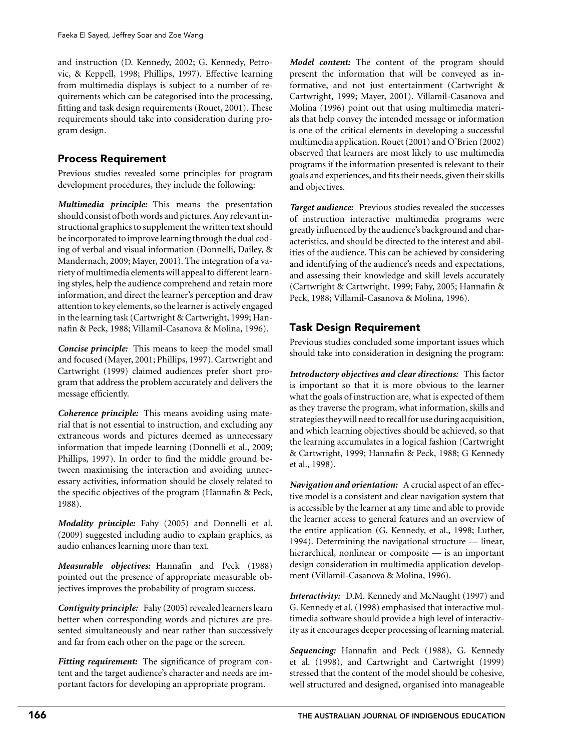and instruction (D. Kennedy, 2002; G. Kennedy, Petrovic, & Keppell, 1998; Phillips, 1997). Effective learning from multimedia displays is subject to a number of requirements which can be categorised into the processing, fitting and task design requirements (Rouet, 2001). These requirements should take into consideration during program design.

## Process Requirement

Previous studies revealed some principles for program development procedures, they include the following:

*Multimedia principle:* This means the presentation should consist of both words and pictures. Any relevant instructional graphics to supplement the written text should be incorporated to improve learning through the dual coding of verbal and visual information (Donnelli, Dailey, & Mandernach, 2009; Mayer, 2001). The integration of a variety of multimedia elements will appeal to different learning styles, help the audience comprehend and retain more information, and direct the learner's perception and draw attention to key elements, so the learner is actively engaged in the learning task (Cartwright & Cartwright, 1999; Hannafin & Peck, 1988; Villamil-Casanova & Molina, 1996).

*Concise principle:* This means to keep the model small and focused (Mayer, 2001; Phillips, 1997). Cartwright and Cartwright (1999) claimed audiences prefer short program that address the problem accurately and delivers the message efficiently.

*Coherence principle:* This means avoiding using material that is not essential to instruction, and excluding any extraneous words and pictures deemed as unnecessary information that impede learning (Donnelli et al., 2009; Phillips, 1997). In order to find the middle ground between maximising the interaction and avoiding unnecessary activities, information should be closely related to the specific objectives of the program (Hannafin & Peck, 1988).

*Modality principle:* Fahy (2005) and Donnelli et al. (2009) suggested including audio to explain graphics, as audio enhances learning more than text.

*Measurable objectives:* Hannafin and Peck (1988) pointed out the presence of appropriate measurable objectives improves the probability of program success.

*Contiguity principle:* Fahy (2005) revealed learners learn better when corresponding words and pictures are presented simultaneously and near rather than successively and far from each other on the page or the screen.

*Fitting requirement:* The significance of program content and the target audience's character and needs are important factors for developing an appropriate program.

*Model content:* The content of the program should present the information that will be conveyed as informative, and not just entertainment (Cartwright & Cartwright, 1999; Mayer, 2001). Villamil-Casanova and Molina (1996) point out that using multimedia materials that help convey the intended message or information is one of the critical elements in developing a successful multimedia application. Rouet (2001) and O'Brien (2002) observed that learners are most likely to use multimedia programs if the information presented is relevant to their goals and experiences, and fits their needs, given their skills and objectives.

*Target audience:* Previous studies revealed the successes of instruction interactive multimedia programs were greatly influenced by the audience's background and characteristics, and should be directed to the interest and abilities of the audience. This can be achieved by considering and identifying of the audience's needs and expectations, and assessing their knowledge and skill levels accurately (Cartwright & Cartwright, 1999; Fahy, 2005; Hannafin & Peck, 1988; Villamil-Casanova & Molina, 1996).

## Task Design Requirement

Previous studies concluded some important issues which should take into consideration in designing the program:

*Introductory objectives and clear directions:* This factor is important so that it is more obvious to the learner what the goals of instruction are, what is expected of them as they traverse the program, what information, skills and strategies they will need to recall for use during acquisition, and which learning objectives should be achieved, so that the learning accumulates in a logical fashion (Cartwright & Cartwright, 1999; Hannafin & Peck, 1988; G Kennedy et al., 1998).

*Navigation and orientation:* A crucial aspect of an effective model is a consistent and clear navigation system that is accessible by the learner at any time and able to provide the learner access to general features and an overview of the entire application (G. Kennedy, et al., 1998; Luther, 1994). Determining the navigational structure — linear, hierarchical, nonlinear or composite — is an important design consideration in multimedia application development (Villamil-Casanova & Molina, 1996).

*Interactivity:* D.M. Kennedy and McNaught (1997) and G. Kennedy et al. (1998) emphasised that interactive multimedia software should provide a high level of interactivity as it encourages deeper processing of learning material.

*Sequencing:* Hannafin and Peck (1988), G. Kennedy et al. (1998), and Cartwright and Cartwright (1999) stressed that the content of the model should be cohesive, well structured and designed, organised into manageable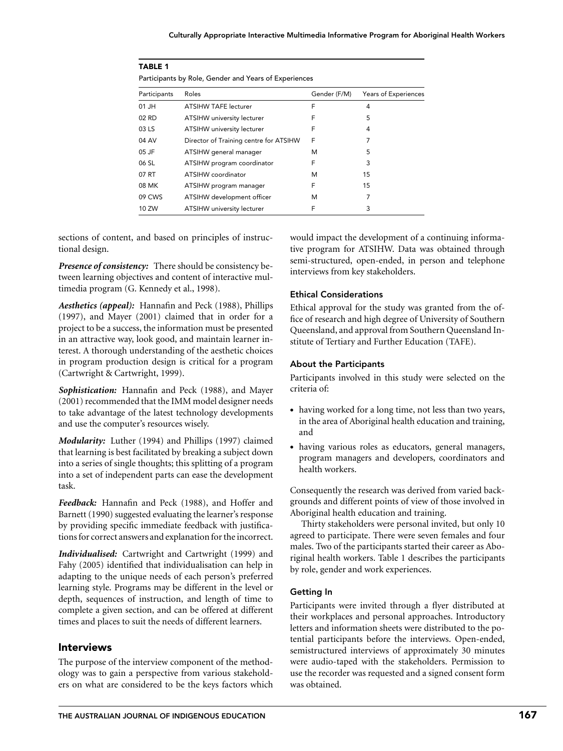| Participants by Role, Gender and Years of Experiences |                                        |              |                      |
|-------------------------------------------------------|----------------------------------------|--------------|----------------------|
| Participants                                          | Roles                                  | Gender (F/M) | Years of Experiences |
| 01 JH                                                 | <b>ATSIHW TAFE lecturer</b>            | F            | 4                    |
| 02 RD                                                 | ATSIHW university lecturer             | F            | 5                    |
| 03 LS                                                 | ATSIHW university lecturer             | F            | 4                    |
| 04 AV                                                 | Director of Training centre for ATSIHW | F            | 7                    |
| 05 JF                                                 | ATSIHW general manager                 | M            | 5                    |
| 06 SL                                                 | ATSIHW program coordinator             | F            | 3                    |
| 07 RT                                                 | ATSIHW coordinator                     | M            | 15                   |
| 08 MK                                                 | ATSIHW program manager                 | F            | 15                   |
| 09 CWS                                                | ATSIHW development officer             | M            | 7                    |
| 10 ZW                                                 | ATSIHW university lecturer             | F            | 3                    |

TABLE 1

sections of content, and based on principles of instructional design.

*Presence of consistency:* There should be consistency between learning objectives and content of interactive multimedia program (G. Kennedy et al., 1998).

*Aesthetics (appeal):* Hannafin and Peck (1988), Phillips (1997), and Mayer (2001) claimed that in order for a project to be a success, the information must be presented in an attractive way, look good, and maintain learner interest. A thorough understanding of the aesthetic choices in program production design is critical for a program (Cartwright & Cartwright, 1999).

*Sophistication:* Hannafin and Peck (1988), and Mayer (2001) recommended that the IMM model designer needs to take advantage of the latest technology developments and use the computer's resources wisely.

*Modularity:* Luther (1994) and Phillips (1997) claimed that learning is best facilitated by breaking a subject down into a series of single thoughts; this splitting of a program into a set of independent parts can ease the development task.

*Feedback:* Hannafin and Peck (1988), and Hoffer and Barnett (1990) suggested evaluating the learner's response by providing specific immediate feedback with justifications for correct answers and explanation for the incorrect.

*Individualised:* Cartwright and Cartwright (1999) and Fahy (2005) identified that individualisation can help in adapting to the unique needs of each person's preferred learning style. Programs may be different in the level or depth, sequences of instruction, and length of time to complete a given section, and can be offered at different times and places to suit the needs of different learners.

#### Interviews

The purpose of the interview component of the methodology was to gain a perspective from various stakeholders on what are considered to be the keys factors which would impact the development of a continuing informative program for ATSIHW. Data was obtained through semi-structured, open-ended, in person and telephone interviews from key stakeholders.

#### Ethical Considerations

Ethical approval for the study was granted from the office of research and high degree of University of Southern Queensland, and approval from Southern Queensland Institute of Tertiary and Further Education (TAFE).

#### About the Participants

Participants involved in this study were selected on the criteria of:

- having worked for a long time, not less than two years, in the area of Aboriginal health education and training, and
- having various roles as educators, general managers, program managers and developers, coordinators and health workers.

Consequently the research was derived from varied backgrounds and different points of view of those involved in Aboriginal health education and training.

Thirty stakeholders were personal invited, but only 10 agreed to participate. There were seven females and four males. Two of the participants started their career as Aboriginal health workers. Table 1 describes the participants by role, gender and work experiences.

#### Getting In

Participants were invited through a flyer distributed at their workplaces and personal approaches. Introductory letters and information sheets were distributed to the potential participants before the interviews. Open-ended, semistructured interviews of approximately 30 minutes were audio-taped with the stakeholders. Permission to use the recorder was requested and a signed consent form was obtained.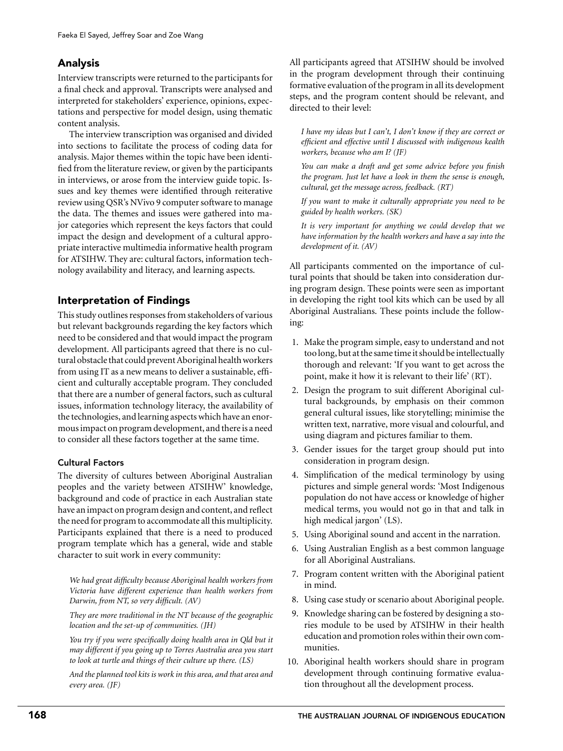## Analysis

Interview transcripts were returned to the participants for a final check and approval. Transcripts were analysed and interpreted for stakeholders' experience, opinions, expectations and perspective for model design, using thematic content analysis.

The interview transcription was organised and divided into sections to facilitate the process of coding data for analysis. Major themes within the topic have been identified from the literature review, or given by the participants in interviews, or arose from the interview guide topic. Issues and key themes were identified through reiterative review using QSR's NVivo 9 computer software to manage the data. The themes and issues were gathered into major categories which represent the keys factors that could impact the design and development of a cultural appropriate interactive multimedia informative health program for ATSIHW. They are: cultural factors, information technology availability and literacy, and learning aspects.

## Interpretation of Findings

This study outlines responses from stakeholders of various but relevant backgrounds regarding the key factors which need to be considered and that would impact the program development. All participants agreed that there is no cultural obstacle that could prevent Aboriginal health workers from using IT as a new means to deliver a sustainable, efficient and culturally acceptable program. They concluded that there are a number of general factors, such as cultural issues, information technology literacy, the availability of the technologies, and learning aspects which have an enormous impact on program development, and there is a need to consider all these factors together at the same time.

#### Cultural Factors

The diversity of cultures between Aboriginal Australian peoples and the variety between ATSIHW' knowledge, background and code of practice in each Australian state have an impact on program design and content, and reflect the need for program to accommodate all this multiplicity. Participants explained that there is a need to produced program template which has a general, wide and stable character to suit work in every community:

*We had great difficulty because Aboriginal health workers from Victoria have different experience than health workers from Darwin, from NT, so very difficult. (AV)*

*They are more traditional in the NT because of the geographic location and the set-up of communities. (JH)*

*You try if you were specifically doing health area in Qld but it may different if you going up to Torres Australia area you start to look at turtle and things of their culture up there. (LS)*

*And the planned tool kits is work in this area, and that area and every area. (JF)*

All participants agreed that ATSIHW should be involved in the program development through their continuing formative evaluation of the program in all its development steps, and the program content should be relevant, and directed to their level:

*I have my ideas but I can't, I don't know if they are correct or efficient and effective until I discussed with indigenous kealth workers, because who am I? (JF)*

*You can make a draft and get some advice before you finish the program. Just let have a look in them the sense is enough, cultural, get the message across, feedback. (RT)*

*If you want to make it culturally appropriate you need to be guided by health workers. (SK)*

*It is very important for anything we could develop that we have information by the health workers and have a say into the development of it. (AV)*

All participants commented on the importance of cultural points that should be taken into consideration during program design. These points were seen as important in developing the right tool kits which can be used by all Aboriginal Australians. These points include the following:

- 1. Make the program simple, easy to understand and not too long, but at the same time it should be intellectually thorough and relevant: 'If you want to get across the point, make it how it is relevant to their life' (RT).
- 2. Design the program to suit different Aboriginal cultural backgrounds, by emphasis on their common general cultural issues, like storytelling; minimise the written text, narrative, more visual and colourful, and using diagram and pictures familiar to them.
- 3. Gender issues for the target group should put into consideration in program design.
- 4. Simplification of the medical terminology by using pictures and simple general words: 'Most Indigenous population do not have access or knowledge of higher medical terms, you would not go in that and talk in high medical jargon' (LS).
- 5. Using Aboriginal sound and accent in the narration.
- 6. Using Australian English as a best common language for all Aboriginal Australians.
- 7. Program content written with the Aboriginal patient in mind.
- 8. Using case study or scenario about Aboriginal people.
- 9. Knowledge sharing can be fostered by designing a stories module to be used by ATSIHW in their health education and promotion roles within their own communities.
- 10. Aboriginal health workers should share in program development through continuing formative evaluation throughout all the development process.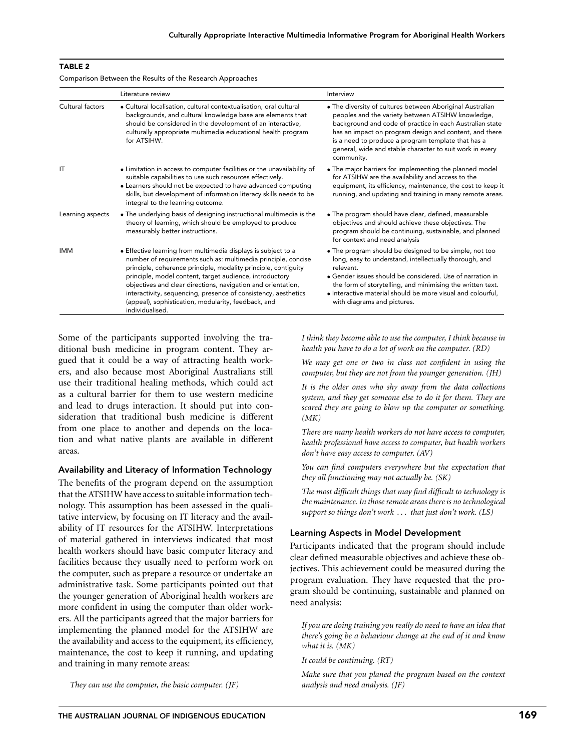#### TABLE 2

Comparison Between the Results of the Research Approaches

|                  | Literature review                                                                                                                                                                                                                                                                                                                                                                                                                                                       | Interview                                                                                                                                                                                                                                                                                                                                                            |
|------------------|-------------------------------------------------------------------------------------------------------------------------------------------------------------------------------------------------------------------------------------------------------------------------------------------------------------------------------------------------------------------------------------------------------------------------------------------------------------------------|----------------------------------------------------------------------------------------------------------------------------------------------------------------------------------------------------------------------------------------------------------------------------------------------------------------------------------------------------------------------|
| Cultural factors | • Cultural localisation, cultural contextualisation, oral cultural<br>backgrounds, and cultural knowledge base are elements that<br>should be considered in the development of an interactive,<br>culturally appropriate multimedia educational health program<br>for ATSIHW.                                                                                                                                                                                           | • The diversity of cultures between Aboriginal Australian<br>peoples and the variety between ATSIHW knowledge,<br>background and code of practice in each Australian state<br>has an impact on program design and content, and there<br>is a need to produce a program template that has a<br>general, wide and stable character to suit work in every<br>community. |
| IT               | • Limitation in access to computer facilities or the unavailability of<br>suitable capabilities to use such resources effectively.<br>• Learners should not be expected to have advanced computing<br>skills, but development of information literacy skills needs to be<br>integral to the learning outcome.                                                                                                                                                           | • The major barriers for implementing the planned model<br>for ATSIHW are the availability and access to the<br>equipment, its efficiency, maintenance, the cost to keep it<br>running, and updating and training in many remote areas.                                                                                                                              |
| Learning aspects | • The underlying basis of designing instructional multimedia is the<br>theory of learning, which should be employed to produce<br>measurably better instructions.                                                                                                                                                                                                                                                                                                       | • The program should have clear, defined, measurable<br>objectives and should achieve these objectives. The<br>program should be continuing, sustainable, and planned<br>for context and need analysis                                                                                                                                                               |
| <b>IMM</b>       | • Effective learning from multimedia displays is subject to a<br>number of requirements such as: multimedia principle, concise<br>principle, coherence principle, modality principle, contiguity<br>principle, model content, target audience, introductory<br>objectives and clear directions, navigation and orientation,<br>interactivity, sequencing, presence of consistency, aesthetics<br>(appeal), sophistication, modularity, feedback, and<br>individualised. | • The program should be designed to be simple, not too<br>long, easy to understand, intellectually thorough, and<br>relevant.<br>• Gender issues should be considered. Use of narration in<br>the form of storytelling, and minimising the written text.<br>• Interactive material should be more visual and colourful,<br>with diagrams and pictures.               |

Some of the participants supported involving the traditional bush medicine in program content. They argued that it could be a way of attracting health workers, and also because most Aboriginal Australians still use their traditional healing methods, which could act as a cultural barrier for them to use western medicine and lead to drugs interaction. It should put into consideration that traditional bush medicine is different from one place to another and depends on the location and what native plants are available in different areas.

#### Availability and Literacy of Information Technology

The benefits of the program depend on the assumption that the ATSIHW have access to suitable information technology. This assumption has been assessed in the qualitative interview, by focusing on IT literacy and the availability of IT resources for the ATSIHW. Interpretations of material gathered in interviews indicated that most health workers should have basic computer literacy and facilities because they usually need to perform work on the computer, such as prepare a resource or undertake an administrative task. Some participants pointed out that the younger generation of Aboriginal health workers are more confident in using the computer than older workers. All the participants agreed that the major barriers for implementing the planned model for the ATSIHW are the availability and access to the equipment, its efficiency, maintenance, the cost to keep it running, and updating and training in many remote areas:

*I think they become able to use the computer, I think because in health you have to do a lot of work on the computer. (RD)*

*We may get one or two in class not confident in using the computer, but they are not from the younger generation. (JH)*

*It is the older ones who shy away from the data collections system, and they get someone else to do it for them. They are scared they are going to blow up the computer or something. (MK)*

*There are many health workers do not have access to computer, health professional have access to computer, but health workers don't have easy access to computer. (AV)*

*You can find computers everywhere but the expectation that they all functioning may not actually be. (SK)*

*The most difficult things that may find difficult to technology is the maintenance. In those remote areas there is no technological support so things don't work . . . that just don't work. (LS)*

#### Learning Aspects in Model Development

Participants indicated that the program should include clear defined measurable objectives and achieve these objectives. This achievement could be measured during the program evaluation. They have requested that the program should be continuing, sustainable and planned on need analysis:

*If you are doing training you really do need to have an idea that there's going be a behaviour change at the end of it and know what it is. (MK)*

*It could be continuing. (RT)*

*Make sure that you planed the program based on the context analysis and need analysis. (JF)*

*They can use the computer, the basic computer. (JF)*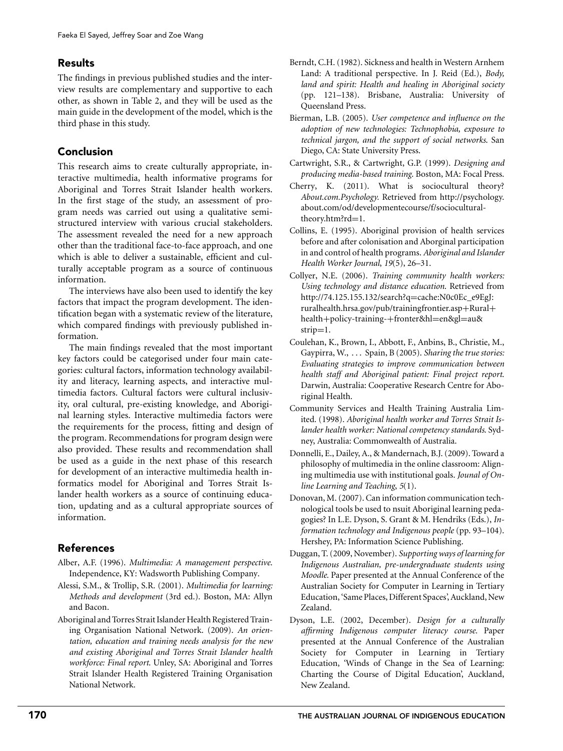## Results

The findings in previous published studies and the interview results are complementary and supportive to each other, as shown in Table 2, and they will be used as the main guide in the development of the model, which is the third phase in this study.

## Conclusion

This research aims to create culturally appropriate, interactive multimedia, health informative programs for Aboriginal and Torres Strait Islander health workers. In the first stage of the study, an assessment of program needs was carried out using a qualitative semistructured interview with various crucial stakeholders. The assessment revealed the need for a new approach other than the traditional face-to-face approach, and one which is able to deliver a sustainable, efficient and culturally acceptable program as a source of continuous information.

The interviews have also been used to identify the key factors that impact the program development. The identification began with a systematic review of the literature, which compared findings with previously published information.

The main findings revealed that the most important key factors could be categorised under four main categories: cultural factors, information technology availability and literacy, learning aspects, and interactive multimedia factors. Cultural factors were cultural inclusivity, oral cultural, pre-existing knowledge, and Aboriginal learning styles. Interactive multimedia factors were the requirements for the process, fitting and design of the program. Recommendations for program design were also provided. These results and recommendation shall be used as a guide in the next phase of this research for development of an interactive multimedia health informatics model for Aboriginal and Torres Strait Islander health workers as a source of continuing education, updating and as a cultural appropriate sources of information.

## References

- Alber, A.F. (1996). *Multimedia: A management perspective*. Independence, KY: Wadsworth Publishing Company.
- Alessi, S.M., & Trollip, S.R. (2001). *Multimedia for learning: Methods and development* (3rd ed.). Boston, MA: Allyn and Bacon.
- Aboriginal and Torres Strait Islander Health Registered Training Organisation National Network. (2009). *An orientation, education and training needs analysis for the new and existing Aboriginal and Torres Strait Islander health workforce: Final report*. Unley, SA: Aboriginal and Torres Strait Islander Health Registered Training Organisation National Network.
- Berndt, C.H. (1982). Sickness and health in Western Arnhem Land: A traditional perspective. In J. Reid (Ed.), *Body, land and spirit: Health and healing in Aboriginal society* (pp. 121–138). Brisbane, Australia: University of Queensland Press.
- Bierman, L.B. (2005). *User competence and influence on the adoption of new technologies: Technophobia, exposure to technical jargon, and the support of social networks*. San Diego, CA: State University Press.
- Cartwright, S.R., & Cartwright, G.P. (1999). *Designing and producing media-based training*. Boston, MA: Focal Press.
- Cherry, K. (2011). What is sociocultural theory? *About.com.Psychology.* Retrieved from http://psychology. about.com/od/developmentecourse/f/socioculturaltheory.htm?rd=1.
- Collins, E. (1995). Aboriginal provision of health services before and after colonisation and Aborginal participation in and control of health programs. *Aboriginal and Islander Health Worker Journal*, *19*(5), 26–31.
- Collyer, N.E. (2006). *Training community health workers: Using technology and distance education*. Retrieved from http://74.125.155.132/search?q=cache:N0c0Ec\_e9EgJ: ruralhealth.hrsa.gov/pub/trainingfrontier.asp+Rural+ health+policy-training-+fronter&hl=en&gl=au& strip=1.
- Coulehan, K., Brown, I., Abbott, F., Anbins, B., Christie, M., Gaypirra, W., . . . Spain, B (2005). *Sharing the true stories: Evaluating strategies to improve communication between health staff and Aboriginal patient: Final project report*. Darwin, Australia: Cooperative Research Centre for Aboriginal Health.
- Community Services and Health Training Australia Limited. (1998). *Aboriginal health worker and Torres Strait Islander health worker: National competency standards*. Sydney, Australia: Commonwealth of Australia.
- Donnelli, E., Dailey, A., & Mandernach, B.J. (2009). Toward a philosophy of multimedia in the online classroom: Aligning multimedia use with institutional goals. *Jounal of Online Learning and Teaching*, *5*(1).
- Donovan, M. (2007). Can information communication technological tools be used to nsuit Aboriginal learning pedagogies? In L.E. Dyson, S. Grant & M. Hendriks (Eds.), *Information technology and Indigenous people* (pp. 93–104). Hershey, PA: Information Science Publishing.
- Duggan, T. (2009, November). *Supporting ways of learning for Indigenous Australian, pre-undergraduate students using Moodle.* Paper presented at the Annual Conference of the Australian Society for Computer in Learning in Tertiary Education, 'Same Places, Different Spaces', Auckland, New Zealand.
- Dyson, L.E. (2002, December). *Design for a culturally affirming Indigenous computer literacy course.* Paper presented at the Annual Conference of the Australian Society for Computer in Learning in Tertiary Education, 'Winds of Change in the Sea of Learning: Charting the Course of Digital Education', Auckland, New Zealand.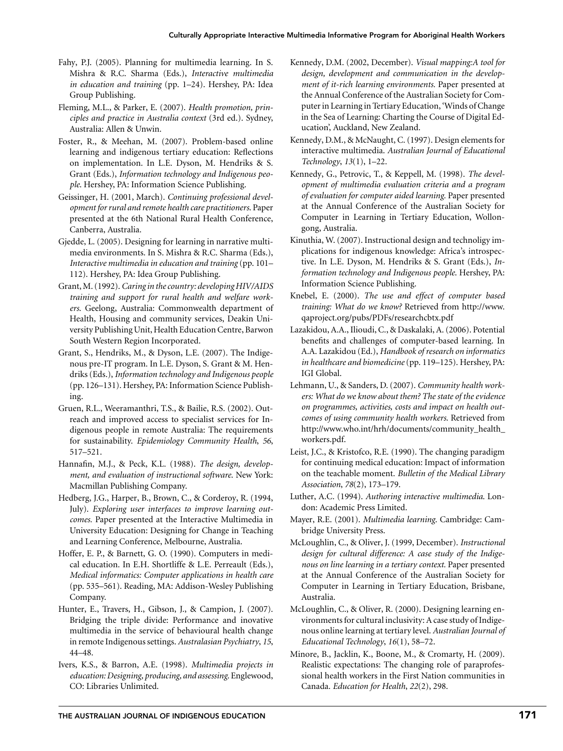- Fahy, P.J. (2005). Planning for multimedia learning. In S. Mishra & R.C. Sharma (Eds.), *Interactive multimedia in education and training* (pp. 1–24). Hershey, PA: Idea Group Publishing.
- Fleming, M.L., & Parker, E. (2007). *Health promotion, principles and practice in Australia context* (3rd ed.). Sydney, Australia: Allen & Unwin.
- Foster, R., & Meehan, M. (2007). Problem-based online learning and indigenous tertiary education: Reflections on implementation. In L.E. Dyson, M. Hendriks & S. Grant (Eds.), *Information technology and Indigenous people*. Hershey, PA: Information Science Publishing.
- Geissinger, H. (2001, March). *Continuing professional development for rural and remote health care practitioners*. Paper presented at the 6th National Rural Health Conference, Canberra, Australia.
- Gjedde, L. (2005). Designing for learning in narrative multimedia environments. In S. Mishra & R.C. Sharma (Eds.), *Interactive multimedia in education and training* (pp. 101– 112). Hershey, PA: Idea Group Publishing.
- Grant,M. (1992).*Caring inthe country: developing HIV/AIDS training and support for rural health and welfare workers*. Geelong, Australia: Commonwealth department of Health, Housing and community services, Deakin University Publishing Unit, Health Education Centre, Barwon South Western Region Incorporated.
- Grant, S., Hendriks, M., & Dyson, L.E. (2007). The Indigenous pre-IT program. In L.E. Dyson, S. Grant & M. Hendriks (Eds.), *Information technology and Indigenous people* (pp. 126–131). Hershey, PA: Information Science Publishing.
- Gruen, R.L., Weeramanthri, T.S., & Bailie, R.S. (2002). Outreach and improved access to specialist services for Indigenous people in remote Australia: The requirements for sustainability. *Epidemiology Community Health*, *56*, 517–521.
- Hannafin, M.J., & Peck, K.L. (1988). *The design, development, and evaluation of instructional software*. New York: Macmillan Publishing Company.
- Hedberg, J.G., Harper, B., Brown, C., & Corderoy, R. (1994, July). *Exploring user interfaces to improve learning outcomes.* Paper presented at the Interactive Multimedia in University Education: Designing for Change in Teaching and Learning Conference, Melbourne, Australia.
- Hoffer, E. P., & Barnett, G. O. (1990). Computers in medical education. In E.H. Shortliffe & L.E. Perreault (Eds.), *Medical informatics: Computer applications in health care* (pp. 535–561). Reading, MA: Addison-Wesley Publishing Company.
- Hunter, E., Travers, H., Gibson, J., & Campion, J. (2007). Bridging the triple divide: Performance and inovative multimedia in the service of behavioural health change in remote Indigenous settings. *Australasian Psychiatry*, *15*, 44–48.
- Ivers, K.S., & Barron, A.E. (1998). *Multimedia projects in education: Designing, producing, and assessing*. Englewood, CO: Libraries Unlimited.
- Kennedy, D.M. (2002, December). *Visual mapping:A tool for design, development and communication in the development of it-rich learning environments.* Paper presented at the Annual Conference of the Australian Society for Computer in Learning in Tertiary Education, 'Winds of Change in the Sea of Learning: Charting the Course of Digital Education', Auckland, New Zealand.
- Kennedy, D.M., & McNaught, C. (1997). Design elements for interactive multimedia. *Australian Journal of Educational Technology*, *13*(1), 1–22.
- Kennedy, G., Petrovic, T., & Keppell, M. (1998). *The development of multimedia evaluation criteria and a program of evaluation for computer aided learning.* Paper presented at the Annual Conference of the Australian Society for Computer in Learning in Tertiary Education, Wollongong, Australia.
- Kinuthia, W. (2007). Instructional design and technoligy implications for indigenous knowledge: Africa's introspective. In L.E. Dyson, M. Hendriks & S. Grant (Eds.), *Information technology and Indigenous people*. Hershey, PA: Information Science Publishing.
- Knebel, E. (2000). *The use and effect of computer based training: What do we know?* Retrieved from http://www. qaproject.org/pubs/PDFs/researchcbtx.pdf
- Lazakidou, A.A., Ilioudi, C., & Daskalaki, A. (2006). Potential benefits and challenges of computer-based learning. In A.A. Lazakidou (Ed.), *Handbook of research on informatics in healthcare and biomedicine*(pp. 119–125). Hershey, PA: IGI Global.
- Lehmann, U., & Sanders, D. (2007). *Community health workers: What do we know about them? The state of the evidence on programmes, activities, costs and impact on health outcomes of using community health workers*. Retrieved from http://www.who.int/hrh/documents/community\_health\_ workers.pdf.
- Leist, J.C., & Kristofco, R.E. (1990). The changing paradigm for continuing medical education: Impact of information on the teachable moment. *Bulletin of the Medical Library Association*, *78*(2), 173–179.
- Luther, A.C. (1994). *Authoring interactive multimedia*. London: Academic Press Limited.
- Mayer, R.E. (2001). *Multimedia learning*. Cambridge: Cambridge University Press.
- McLoughlin, C., & Oliver, J. (1999, December). *Instructional design for cultural difference: A case study of the Indigenous on line learning in a tertiary context.* Paper presented at the Annual Conference of the Australian Society for Computer in Learning in Tertiary Education, Brisbane, Australia.
- McLoughlin, C., & Oliver, R. (2000). Designing learning environments for cultural inclusivity: A case study of Indigenous online learning at tertiary level. *Australian Journal of Educational Technology*, *16*(1), 58–72.
- Minore, B., Jacklin, K., Boone, M., & Cromarty, H. (2009). Realistic expectations: The changing role of paraprofessional health workers in the First Nation communities in Canada. *Education for Health*, *22*(2), 298.